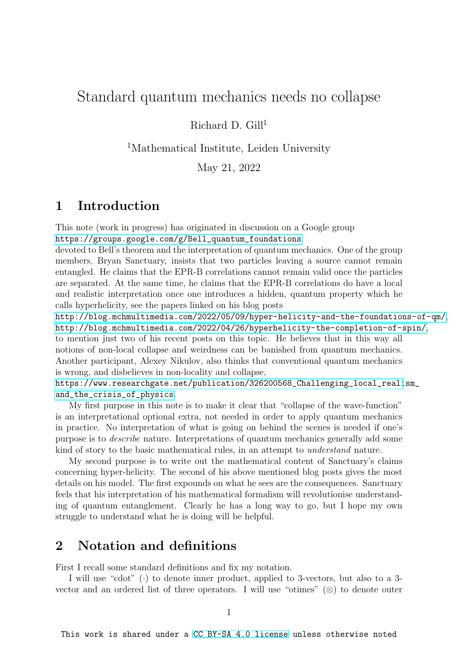## Standard quantum mechanics needs no collapse

Richard D.  $Gill<sup>1</sup>$ 

<sup>1</sup>Mathematical Institute, Leiden University

May 21, 2022

## 1 Introduction

This note (work in progress) has originated in discussion on a Google group [https://groups.google.com/g/Bell\\_quantum\\_foundations](https://groups.google.com/g/Bell_quantum_foundations)

devoted to Bell's theorem and the interpretation of quantum mechanics. One of the group members, Bryan Sanctuary, insists that two particles leaving a source cannot remain entangled. He claims that the EPR-B correlations cannot remain valid once the particles are separated. At the same time, he claims that the EPR-B correlations do have a local and realistic interpretation once one introduces a hidden, quantum property which he calls hyperhelicity, see the papers linked on his blog posts

<http://blog.mchmultimedia.com/2022/05/09/hyper-helicity-and-the-foundations-of-qm/>, <http://blog.mchmultimedia.com/2022/04/26/hyperhelicity-the-completion-of-spin/>, to mention just two of his recent posts on this topic. He believes that in this way all notions of non-local collapse and weirdness can be banished from quantum mechanics. Another participant, Alexey Nikulov, also thinks that conventional quantum mechanics is wrong, and disbelieves in non-locality and collapse,

[https://www.researchgate.net/publication/326200568\\_Challenging\\_local\\_reali](https://www.researchgate.net/publication/326200568_Challenging_local_realism_and_the_crisis_of_physics)sm\_ [and\\_the\\_crisis\\_of\\_physics](https://www.researchgate.net/publication/326200568_Challenging_local_realism_and_the_crisis_of_physics).

My first purpose in this note is to make it clear that "collapse of the wave-function" is an interpretational optional extra, not needed in order to apply quantum mechanics in practice. No interpretation of what is going on behind the scenes is needed if one's purpose is to describe nature. Interpretations of quantum mechanics generally add some kind of story to the basic mathematical rules, in an attempt to understand nature.

My second purpose is to write out the mathematical content of Sanctuary's claims concerning hyper-helicity. The second of his above mentioned blog posts gives the most details on his model. The first expounds on what he sees are the consequences. Sanctuary feels that his interpretation of his mathematical formalism will revolutionise understanding of quantum entanglement. Clearly he has a long way to go, but I hope my own struggle to understand what he is doing will be helpful.

## 2 Notation and definitions

First I recall some standard definitions and fix my notation.

I will use "cdot" (·) to denote inner product, applied to 3-vectors, but also to a 3 vector and an ordered list of three operators. I will use "otimes"  $(\otimes)$  to denote outer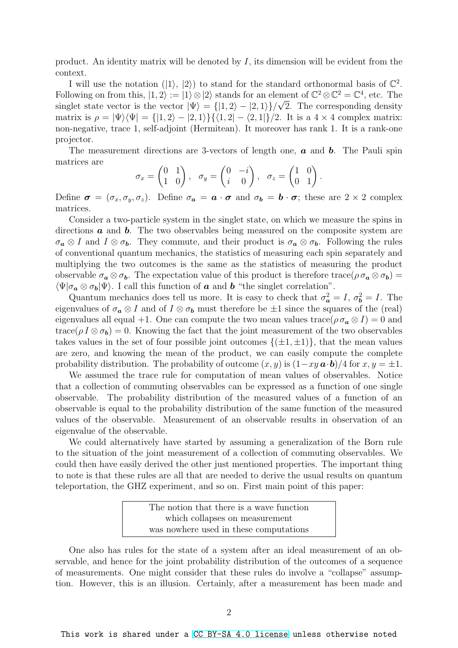product. An identity matrix will be denoted by  $I$ , its dimension will be evident from the context.

I will use the notation  $(|1\rangle, |2\rangle)$  to stand for the standard orthonormal basis of  $\mathbb{C}^2$ . Following on from this,  $|1, 2\rangle := |1\rangle \otimes |2\rangle$  stands for an element of  $\mathbb{C}^2 \otimes \mathbb{C}^2 = \mathbb{C}^4$ , etc. The singlet state vector is the vector  $|\Psi\rangle = \{ |1,2\rangle - |2,1\rangle \}/\sqrt{2}$ . The corresponding density matrix is  $\rho = |\Psi\rangle\langle\Psi| = \{ |1, 2\rangle - |2, 1\rangle\} \{ \langle 1, 2| - \langle 2, 1| \rangle / 2$ . It is a  $4 \times 4$  complex matrix: non-negative, trace 1, self-adjoint (Hermitean). It moreover has rank 1. It is a rank-one projector.

The measurement directions are 3-vectors of length one,  $\boldsymbol{a}$  and  $\boldsymbol{b}$ . The Pauli spin matrices are

$$
\sigma_x = \begin{pmatrix} 0 & 1 \\ 1 & 0 \end{pmatrix}, \quad \sigma_y = \begin{pmatrix} 0 & -i \\ i & 0 \end{pmatrix}, \quad \sigma_z = \begin{pmatrix} 1 & 0 \\ 0 & 1 \end{pmatrix}.
$$

Define  $\sigma = (\sigma_x, \sigma_y, \sigma_z)$ . Define  $\sigma_a = \boldsymbol{a} \cdot \boldsymbol{\sigma}$  and  $\sigma_b = \boldsymbol{b} \cdot \boldsymbol{\sigma}$ ; these are  $2 \times 2$  complex matrices.

Consider a two-particle system in the singlet state, on which we measure the spins in directions  $\boldsymbol{a}$  and  $\boldsymbol{b}$ . The two observables being measured on the composite system are  $\sigma_{\boldsymbol{a}} \otimes I$  and  $I \otimes \sigma_{\boldsymbol{b}}$ . They commute, and their product is  $\sigma_{\boldsymbol{a}} \otimes \sigma_{\boldsymbol{b}}$ . Following the rules of conventional quantum mechanics, the statistics of measuring each spin separately and multiplying the two outcomes is the same as the statistics of measuring the product observable  $\sigma_a \otimes \sigma_b$ . The expectation value of this product is therefore trace( $\rho \sigma_a \otimes \sigma_b$ ) =  $\langle \Psi | \sigma_a \otimes \sigma_b | \Psi \rangle$ . I call this function of **a** and **b** "the singlet correlation".

Quantum mechanics does tell us more. It is easy to check that  $\sigma_a^2 = I$ ,  $\sigma_b^2 = I$ . The eigenvalues of  $\sigma_a \otimes I$  and of  $I \otimes \sigma_b$  must therefore be  $\pm 1$  since the squares of the (real) eigenvalues all equal +1. One can compute the two mean values trace( $\rho \sigma_a \otimes I$ ) = 0 and trace( $\rho I \otimes \sigma_{b}$ ) = 0. Knowing the fact that the joint measurement of the two observables takes values in the set of four possible joint outcomes  $\{(\pm 1, \pm 1)\}\$ , that the mean values are zero, and knowing the mean of the product, we can easily compute the complete probability distribution. The probability of outcome  $(x, y)$  is  $(1 - xy \mathbf{a} \cdot \mathbf{b})/4$  for  $x, y = \pm 1$ .

We assumed the trace rule for computation of mean values of observables. Notice that a collection of commuting observables can be expressed as a function of one single observable. The probability distribution of the measured values of a function of an observable is equal to the probability distribution of the same function of the measured values of the observable. Measurement of an observable results in observation of an eigenvalue of the observable.

We could alternatively have started by assuming a generalization of the Born rule to the situation of the joint measurement of a collection of commuting observables. We could then have easily derived the other just mentioned properties. The important thing to note is that these rules are all that are needed to derive the usual results on quantum teleportation, the GHZ experiment, and so on. First main point of this paper:

> The notion that there is a wave function which collapses on measurement was nowhere used in these computations

One also has rules for the state of a system after an ideal measurement of an observable, and hence for the joint probability distribution of the outcomes of a sequence of measurements. One might consider that these rules do involve a "collapse" assumption. However, this is an illusion. Certainly, after a measurement has been made and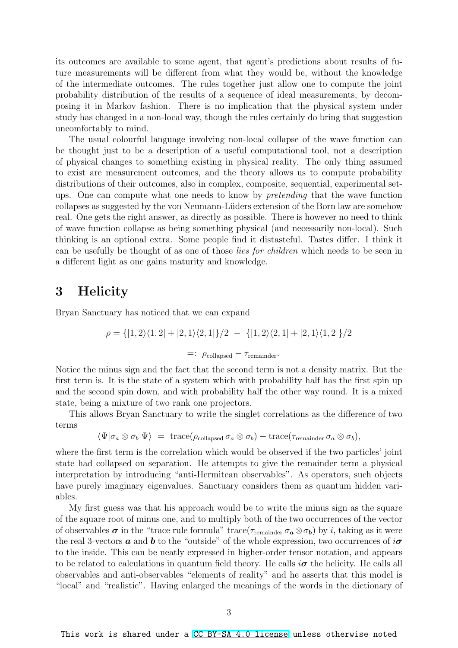its outcomes are available to some agent, that agent's predictions about results of future measurements will be different from what they would be, without the knowledge of the intermediate outcomes. The rules together just allow one to compute the joint probability distribution of the results of a sequence of ideal measurements, by decomposing it in Markov fashion. There is no implication that the physical system under study has changed in a non-local way, though the rules certainly do bring that suggestion uncomfortably to mind.

The usual colourful language involving non-local collapse of the wave function can be thought just to be a description of a useful computational tool, not a description of physical changes to something existing in physical reality. The only thing assumed to exist are measurement outcomes, and the theory allows us to compute probability distributions of their outcomes, also in complex, composite, sequential, experimental setups. One can compute what one needs to know by pretending that the wave function collapses as suggested by the von Neumann-Lüders extension of the Born law are somehow real. One gets the right answer, as directly as possible. There is however no need to think of wave function collapse as being something physical (and necessarily non-local). Such thinking is an optional extra. Some people find it distasteful. Tastes differ. I think it can be usefully be thought of as one of those lies for children which needs to be seen in a different light as one gains maturity and knowledge.

## 3 Helicity

Bryan Sanctuary has noticed that we can expand

$$
\rho = \{ |1,2\rangle\langle 1,2| + |2,1\rangle\langle 2,1| \}/2 - \{ |1,2\rangle\langle 2,1| + |2,1\rangle\langle 1,2| \}/2
$$

$$
=:\ \rho_{\text{collapsed}}-\tau_{\text{remainder}}.
$$

Notice the minus sign and the fact that the second term is not a density matrix. But the first term is. It is the state of a system which with probability half has the first spin up and the second spin down, and with probability half the other way round. It is a mixed state, being a mixture of two rank one projectors.

This allows Bryan Sanctuary to write the singlet correlations as the difference of two terms

$$
\langle\Psi|\sigma_a\otimes\sigma_b|\Psi\rangle\;=\;\text{trace}(\rho_{\text{collapsed}}\,\sigma_a\otimes\sigma_b)-\text{trace}(\tau_{\text{remainder}}\,\sigma_a\otimes\sigma_b),
$$

where the first term is the correlation which would be observed if the two particles' joint state had collapsed on separation. He attempts to give the remainder term a physical interpretation by introducing "anti-Hermitean observables". As operators, such objects have purely imaginary eigenvalues. Sanctuary considers them as quantum hidden variables.

My first guess was that his approach would be to write the minus sign as the square of the square root of minus one, and to multiply both of the two occurrences of the vector of observables  $\sigma$  in the "trace rule formula" trace( $\tau_{\text{remainder}} \sigma_a \otimes \sigma_b$ ) by *i*, taking as it were the real 3-vectors **a** and **b** to the "outside" of the whole expression, two occurrences of  $i\sigma$ to the inside. This can be neatly expressed in higher-order tensor notation, and appears to be related to calculations in quantum field theory. He calls  $i\sigma$  the helicity. He calls all observables and anti-observables "elements of reality" and he asserts that this model is "local" and "realistic". Having enlarged the meanings of the words in the dictionary of